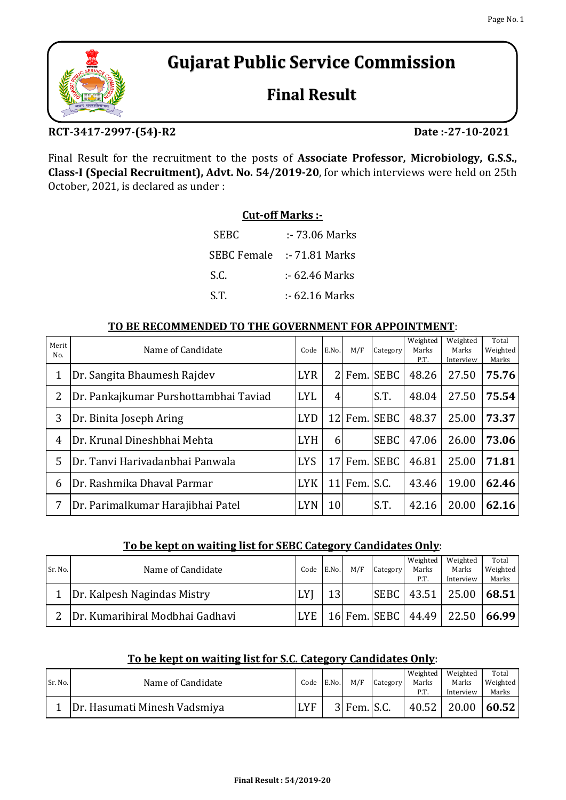# **Gujarat Public Service Commission**

# **Final Result**

## **RCT-3417-2997-(54)-R2 Date :-27-10-2021**

Final Result for the recruitment to the posts of **Associate Professor, Microbiology, G.S.S., Class-I (Special Recruitment), Advt. No. 54/2019-20**, for which interviews were held on 25th October, 2021, is declared as under :

# **Cut-off Marks :-**

| <b>SEBC</b>        | :- 73.06 Marks |
|--------------------|----------------|
| <b>SEBC Female</b> | :- 71.81 Marks |
| S.C.               | :- 62.46 Marks |
| S.T.               | :- 62.16 Marks |

## **TO BE RECOMMENDED TO THE GOVERNMENT FOR APPOINTMENT**:

| Merit<br>No.   | Name of Candidate                     | Code       | E.No.           | M/F       | Category     | Weighted<br>Marks<br>P.T. | Weighted<br>Marks<br>Interview | Total<br>Weighted<br>Marks |
|----------------|---------------------------------------|------------|-----------------|-----------|--------------|---------------------------|--------------------------------|----------------------------|
| 1              | Dr. Sangita Bhaumesh Rajdev           | <b>LYR</b> | 21              |           | Fem. SEBC    | 48.26                     | 27.50                          | 75.76                      |
| 2              | Dr. Pankajkumar Purshottambhai Taviad | <b>LYL</b> | 4 <sup>1</sup>  |           | S.T.         | 48.04                     | 27.50                          | 75.54                      |
| 3              | Dr. Binita Joseph Aring               | <b>LYD</b> |                 |           | 12 Fem. SEBC | 48.37                     | 25.00                          | 73.37                      |
| $\overline{4}$ | Dr. Krunal Dineshbhai Mehta           | <b>LYH</b> | 6 <sup>1</sup>  |           | <b>SEBC</b>  | 47.06                     | 26.00                          | 73.06                      |
| 5              | Dr. Tanvi Hariyadanbhai Panwala       | <b>LYS</b> |                 |           | 17 Fem. SEBC | 46.81                     | 25.00                          | 71.81                      |
| 6              | Dr. Rashmika Dhaval Parmar            | <b>LYK</b> | 11              | Fem. S.C. |              | 43.46                     | 19.00                          | 62.46                      |
| 7              | Dr. Parimalkumar Harajibhai Patel     | <b>LYN</b> | 10 <sup>1</sup> |           | S.T.         | 42.16                     | 20.00                          | 62.16                      |

## **To be kept on waiting list for SEBC Category Candidates Only**:

|         |                                  |            |       |     |          | Weighted             | Weighted  | Total    |
|---------|----------------------------------|------------|-------|-----|----------|----------------------|-----------|----------|
| Sr. No. | Name of Candidate                | Code       | E.No. | M/F | Category | Marks                | Marks     | Weighted |
|         |                                  |            |       |     |          | P.T.                 | Interview | Marks    |
|         | Dr. Kalpesh Nagindas Mistry      | . V!<br>ы  | 12    |     |          | <b>SEBC   43.51</b>  | 25.00     | 68.51    |
|         | IDr. Kumarihiral Modbhai Gadhavi | <b>LYE</b> |       |     |          | 16 Fem. SEBC   44.49 | 22.50     | 166.99   |

## **To be kept on waiting list for S.C. Category Candidates Only**:

| Sr. No. | Name of Candidate            | Code | E.No. | M/F           | Category | Weighted<br>Marks<br>P.T. | Weighted<br>Marks<br>Interview | Total<br>Weighted<br>Marks |
|---------|------------------------------|------|-------|---------------|----------|---------------------------|--------------------------------|----------------------------|
|         | Dr. Hasumati Minesh Vadsmiya | LYF  |       | $3$ Fem. S.C. |          | 40.52                     | 20.00                          | 60.52                      |